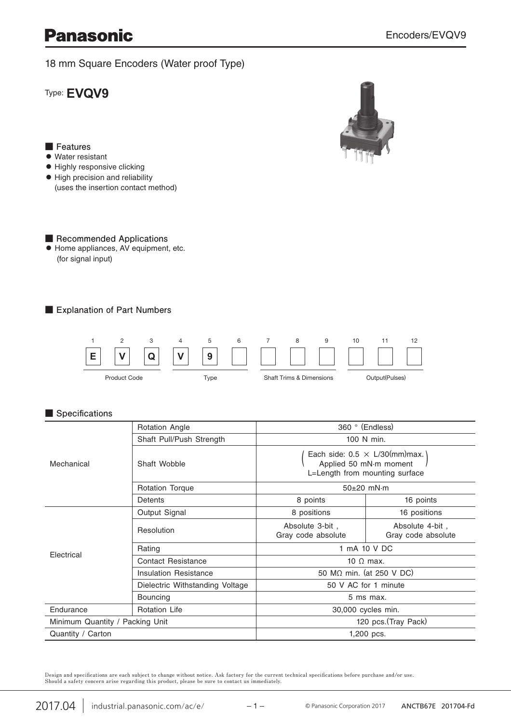# **Panasonic**

18 mm Square Encoders (Water proof Type)

Type: **EVQV9**

## **■ Features**

- **●** Water resistant
- **●** Highly responsive clicking
- **●** High precision and reliability (uses the insertion contact method)



#### ■ Recommended Applications **●** Home appliances, AV equipment, etc. (for signal input)

**■ Explanation of Part Numbers**



### **■ Specifications**

| Mechanical                      | <b>Rotation Angle</b>           | 360 ° (Endless)                                                                                    |                                       |
|---------------------------------|---------------------------------|----------------------------------------------------------------------------------------------------|---------------------------------------|
|                                 | Shaft Pull/Push Strength        | 100 N min.                                                                                         |                                       |
|                                 | Shaft Wobble                    | Each side: $0.5 \times L/30$ (mm) max.<br>Applied 50 mN·m moment<br>L=Length from mounting surface |                                       |
|                                 | <b>Rotation Torque</b>          | $50\pm20$ mN $\cdot$ m                                                                             |                                       |
|                                 | Detents                         | 8 points                                                                                           | 16 points                             |
| Electrical                      | Output Signal                   | 8 positions                                                                                        | 16 positions                          |
|                                 | Resolution                      | Absolute 3-bit,<br>Gray code absolute                                                              | Absolute 4-bit,<br>Gray code absolute |
|                                 | Rating                          | 1 mA 10 V DC                                                                                       |                                       |
|                                 | <b>Contact Resistance</b>       | 10 $\Omega$ max.                                                                                   |                                       |
|                                 | Insulation Resistance           | 50 MΩ min. (at 250 V DC)                                                                           |                                       |
|                                 | Dielectric Withstanding Voltage | 50 V AC for 1 minute                                                                               |                                       |
|                                 | <b>Bouncing</b>                 | 5 ms max.                                                                                          |                                       |
| Endurance                       | <b>Rotation Life</b>            | 30,000 cycles min.                                                                                 |                                       |
| Minimum Quantity / Packing Unit |                                 | 120 pcs. (Tray Pack)                                                                               |                                       |
| Quantity / Carton               |                                 | 1,200 pcs.                                                                                         |                                       |

Design and specifications are each subject to change without notice. Ask factory for the current technical specifications before purchase and/or use.<br>Should a safety concern arise regarding this product, please be sure to